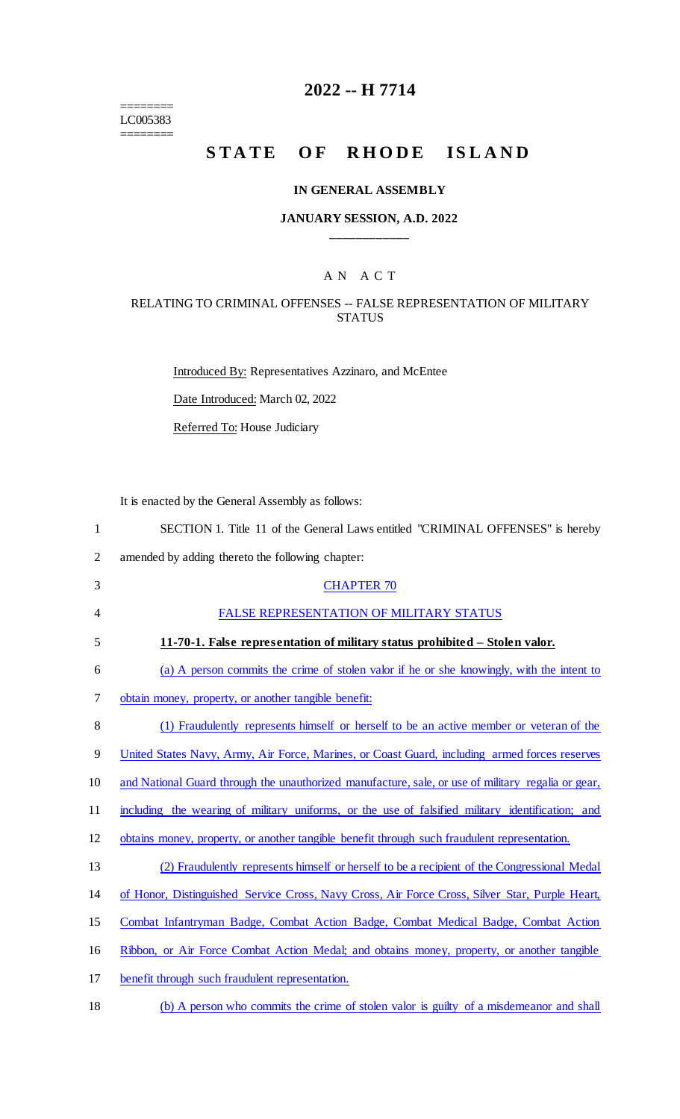======== LC005383 ========

# **2022 -- H 7714**

# **STATE OF RHODE ISLAND**

#### **IN GENERAL ASSEMBLY**

#### **JANUARY SESSION, A.D. 2022 \_\_\_\_\_\_\_\_\_\_\_\_**

## A N A C T

#### RELATING TO CRIMINAL OFFENSES -- FALSE REPRESENTATION OF MILITARY **STATUS**

Introduced By: Representatives Azzinaro, and McEntee Date Introduced: March 02, 2022 Referred To: House Judiciary

It is enacted by the General Assembly as follows:

| $\mathbf{1}$   | SECTION 1. Title 11 of the General Laws entitled "CRIMINAL OFFENSES" is hereby                     |
|----------------|----------------------------------------------------------------------------------------------------|
| $\overline{2}$ | amended by adding thereto the following chapter:                                                   |
| 3              | <b>CHAPTER 70</b>                                                                                  |
| 4              | FALSE REPRESENTATION OF MILITARY STATUS                                                            |
| 5              | 11-70-1. False representation of military status prohibited – Stolen valor.                        |
| 6              | (a) A person commits the crime of stolen valor if he or she knowingly, with the intent to          |
| 7              | obtain money, property, or another tangible benefit:                                               |
| 8              | (1) Fraudulently represents himself or herself to be an active member or veteran of the            |
| 9              | United States Navy, Army, Air Force, Marines, or Coast Guard, including armed forces reserves      |
| 10             | and National Guard through the unauthorized manufacture, sale, or use of military regalia or gear, |
| 11             | including the wearing of military uniforms, or the use of falsified military identification; and   |
| 12             | obtains money, property, or another tangible benefit through such fraudulent representation.       |
| 13             | (2) Fraudulently represents himself or herself to be a recipient of the Congressional Medal        |
| 14             | of Honor, Distinguished Service Cross, Navy Cross, Air Force Cross, Silver Star, Purple Heart,     |
| 15             | Combat Infantryman Badge, Combat Action Badge, Combat Medical Badge, Combat Action                 |
| 16             | Ribbon, or Air Force Combat Action Medal; and obtains money, property, or another tangible         |
|                |                                                                                                    |

- 17 benefit through such fraudulent representation.
- 18 (b) A person who commits the crime of stolen valor is guilty of a misdemeanor and shall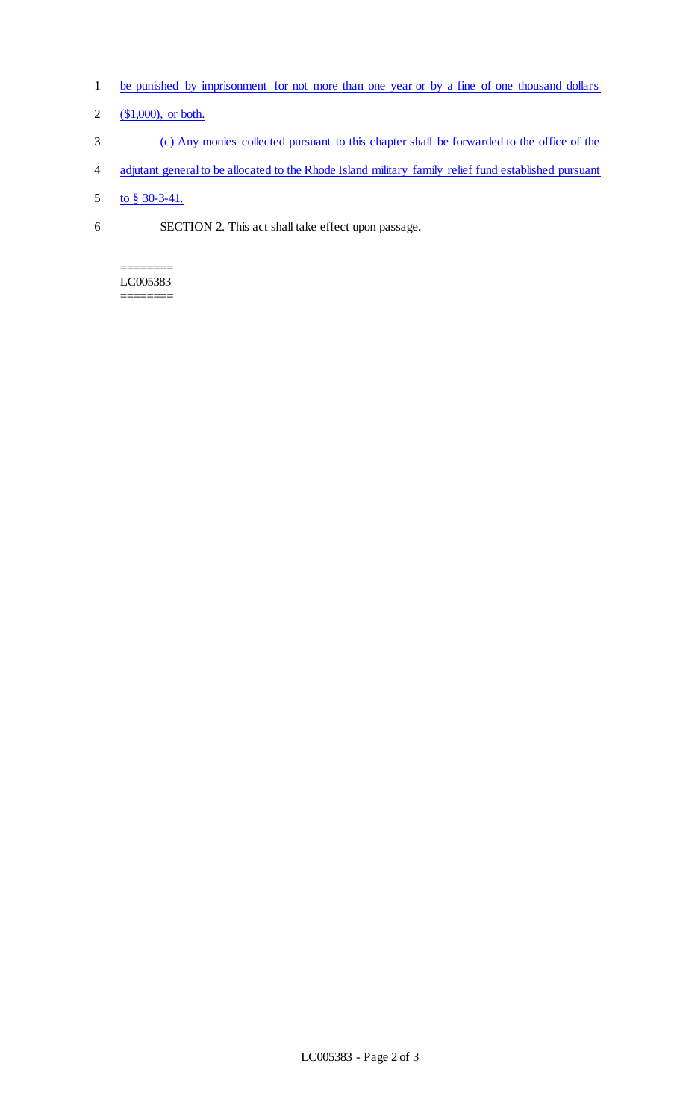- 1 be punished by imprisonment for not more than one year or by a fine of one thousand dollars
- 2  $($1,000)$ , or both.
- 3 (c) Any monies collected pursuant to this chapter shall be forwarded to the office of the
- 4 adjutant general to be allocated to the Rhode Island military family relief fund established pursuant
- 5 to § 30-3-41.
- 6 SECTION 2. This act shall take effect upon passage.

======== LC005383 ========